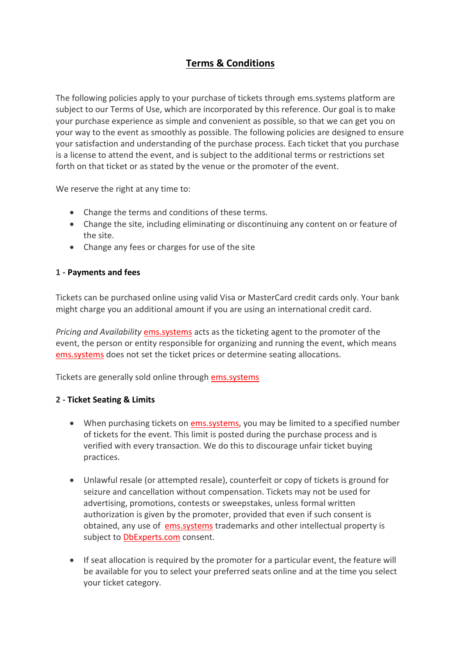# **Terms & Conditions**

The following policies apply to your purchase of tickets through ems.systems platform are subject to our Terms of Use, which are incorporated by this reference. Our goal is to make your purchase experience as simple and convenient as possible, so that we can get you on your way to the event as smoothly as possible. The following policies are designed to ensure your satisfaction and understanding of the purchase process. Each ticket that you purchase is a license to attend the event, and is subject to the additional terms or restrictions set forth on that ticket or as stated by the venue or the promoter of the event.

We reserve the right at any time to:

- Change the terms and conditions of these terms.
- Change the site, including eliminating or discontinuing any content on or feature of the site.
- Change any fees or charges for use of the site

## **1 - Payments and fees**

Tickets can be purchased online using valid Visa or MasterCard credit cards only. Your bank might charge you an additional amount if you are using an international credit card.

*Pricing and Availability* ems.systems acts as the ticketing agent to the promoter of the event, the person or entity responsible for organizing and running the event, which means ems.systems does not set the ticket prices or determine seating allocations.

Tickets are generally sold online through ems.systems

## **2 - Ticket Seating & Limits**

- When purchasing tickets on ems.systems, you may be limited to a specified number of tickets for the event. This limit is posted during the purchase process and is verified with every transaction. We do this to discourage unfair ticket buying practices.
- Unlawful resale (or attempted resale), counterfeit or copy of tickets is ground for seizure and cancellation without compensation. Tickets may not be used for advertising, promotions, contests or sweepstakes, unless formal written authorization is given by the promoter, provided that even if such consent is obtained, any use of ems.systems trademarks and other intellectual property is subject to **DbExperts.com** consent.
- If seat allocation is required by the promoter for a particular event, the feature will be available for you to select your preferred seats online and at the time you select your ticket category.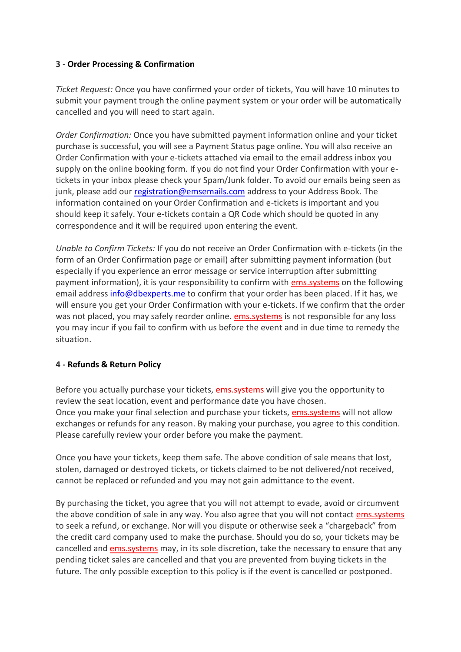#### **3 - Order Processing & Confirmation**

*Ticket Request:* Once you have confirmed your order of tickets, You will have 10 minutes to submit your payment trough the online payment system or your order will be automatically cancelled and you will need to start again.

*Order Confirmation:* Once you have submitted payment information online and your ticket purchase is successful, you will see a Payment Status page online. You will also receive an Order Confirmation with your e-tickets attached via email to the email address inbox you supply on the online booking form. If you do not find your Order Confirmation with your etickets in your inbox please check your Spam/Junk folder. To avoid our emails being seen as junk, please add our [registration@emsemails.com](mailto:registration@emsemails.com) address to your Address Book. The information contained on your Order Confirmation and e-tickets is important and you should keep it safely. Your e-tickets contain a QR Code which should be quoted in any correspondence and it will be required upon entering the event.

*Unable to Confirm Tickets:* If you do not receive an Order Confirmation with e-tickets (in the form of an Order Confirmation page or email) after submitting payment information (but especially if you experience an error message or service interruption after submitting payment information), it is your responsibility to confirm with ems.systems on the following email address [info@dbexperts.me](mailto:info@dbexperts.me) to confirm that your order has been placed. If it has, we will ensure you get your Order Confirmation with your e-tickets. If we confirm that the order was not placed, you may safely reorder online. ems.systems is not responsible for any loss you may incur if you fail to confirm with us before the event and in due time to remedy the situation.

## **4 - Refunds & Return Policy**

Before you actually purchase your tickets, ems.systems will give you the opportunity to review the seat location, event and performance date you have chosen. Once you make your final selection and purchase your tickets, ems.systems will not allow exchanges or refunds for any reason. By making your purchase, you agree to this condition. Please carefully review your order before you make the payment.

Once you have your tickets, keep them safe. The above condition of sale means that lost, stolen, damaged or destroyed tickets, or tickets claimed to be not delivered/not received, cannot be replaced or refunded and you may not gain admittance to the event.

By purchasing the ticket, you agree that you will not attempt to evade, avoid or circumvent the above condition of sale in any way. You also agree that you will not contact ems.systems to seek a refund, or exchange. Nor will you dispute or otherwise seek a "chargeback" from the credit card company used to make the purchase. Should you do so, your tickets may be cancelled and ems.systems may, in its sole discretion, take the necessary to ensure that any pending ticket sales are cancelled and that you are prevented from buying tickets in the future. The only possible exception to this policy is if the event is cancelled or postponed.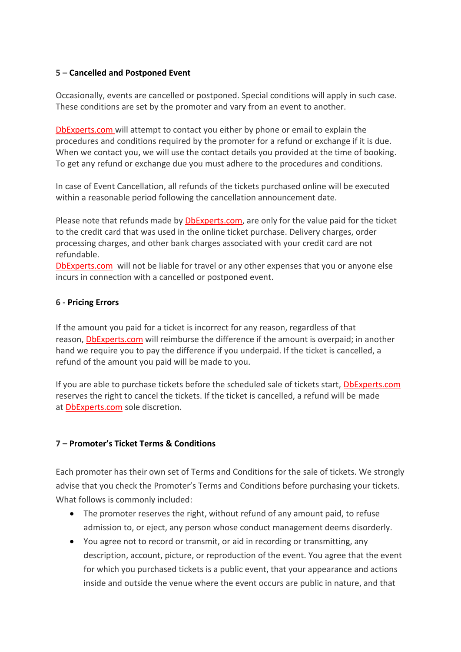## **5 – Cancelled and Postponed Event**

Occasionally, events are cancelled or postponed. Special conditions will apply in such case. These conditions are set by the promoter and vary from an event to another.

DbExperts.com will attempt to contact you either by phone or email to explain the procedures and conditions required by the promoter for a refund or exchange if it is due. When we contact you, we will use the contact details you provided at the time of booking. To get any refund or exchange due you must adhere to the procedures and conditions.

In case of Event Cancellation, all refunds of the tickets purchased online will be executed within a reasonable period following the cancellation announcement date.

Please note that refunds made by DbExperts.com, are only for the value paid for the ticket to the credit card that was used in the online ticket purchase. Delivery charges, order processing charges, and other bank charges associated with your credit card are not refundable.

DbExperts.com will not be liable for travel or any other expenses that you or anyone else incurs in connection with a cancelled or postponed event.

#### **6 - Pricing Errors**

If the amount you paid for a ticket is incorrect for any reason, regardless of that reason, DbExperts.com will reimburse the difference if the amount is overpaid; in another hand we require you to pay the difference if you underpaid. If the ticket is cancelled, a refund of the amount you paid will be made to you.

If you are able to purchase tickets before the scheduled sale of tickets start, DbExperts.com reserves the right to cancel the tickets. If the ticket is cancelled, a refund will be made at DbExperts.com sole discretion.

#### **7 – Promoter's Ticket Terms & Conditions**

Each promoter has their own set of Terms and Conditions for the sale of tickets. We strongly advise that you check the Promoter's Terms and Conditions before purchasing your tickets. What follows is commonly included:

- The promoter reserves the right, without refund of any amount paid, to refuse admission to, or eject, any person whose conduct management deems disorderly.
- You agree not to record or transmit, or aid in recording or transmitting, any description, account, picture, or reproduction of the event. You agree that the event for which you purchased tickets is a public event, that your appearance and actions inside and outside the venue where the event occurs are public in nature, and that